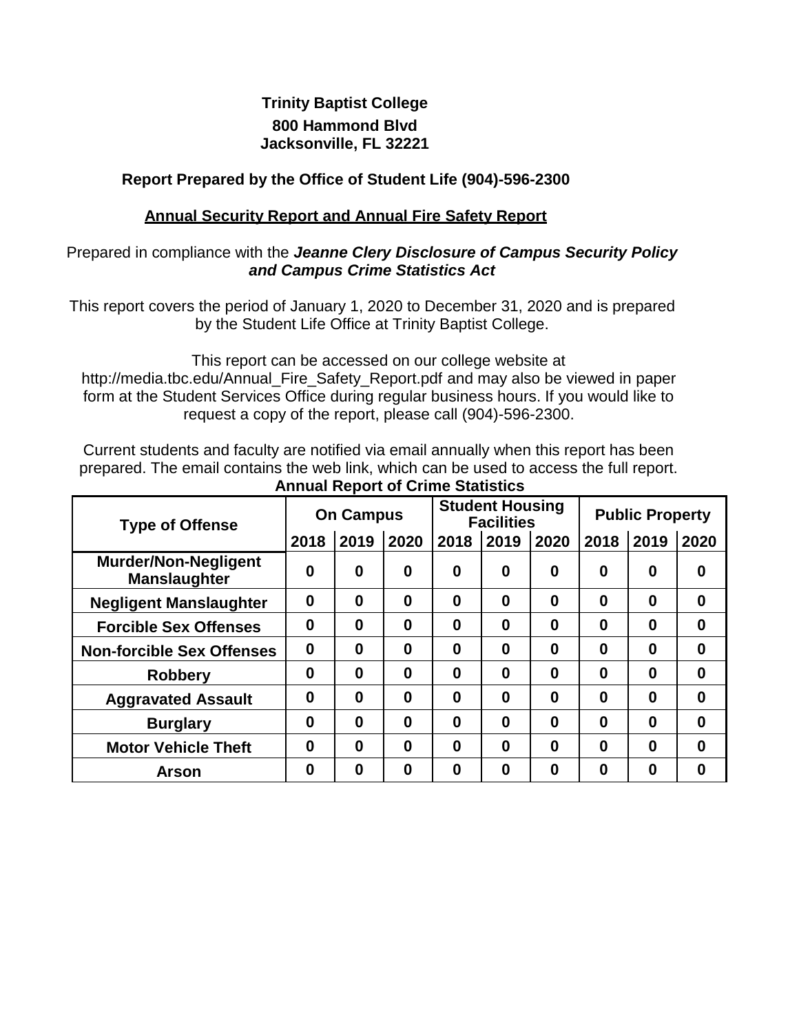### **Trinity Baptist College 800 Hammond Blvd Jacksonville, FL 32221**

### **Report Prepared by the Office of Student Life (904)-596-2300**

#### **Annual Security Report and Annual Fire Safety Report**

#### Prepared in compliance with the *Jeanne Clery Disclosure of Campus Security Policy and Campus Crime Statistics Act*

This report covers the period of January 1, 2020 to December 31, 2020 and is prepared by the Student Life Office at Trinity Baptist College.

This report can be accessed on our college website at [http://media.tbc.edu/Annual\\_Fire\\_Safety\\_Report.pdf a](http://media.tbc.edu/Annual_Fire_Safety_Report.pdf)nd may also be viewed in paper form at the Student Services Office during regular business hours. If you would like to request a copy of the report, please call (904)-596-2300.

Current students and faculty are notified via email annually when this report has been prepared. The email contains the web link, which can be used to access the full report. **Annual Report of Crime Statistics**

| <b>Type of Offense</b>                             | <b>On Campus</b> |          |                  | <b>Student Housing</b><br><b>Facilities</b> |          |          | <b>Public Property</b> |          |          |
|----------------------------------------------------|------------------|----------|------------------|---------------------------------------------|----------|----------|------------------------|----------|----------|
|                                                    | 2018             | 2019     | 2020             | 2018                                        | 2019     | 2020     | 2018                   | 2019     | 2020     |
| <b>Murder/Non-Negligent</b><br><b>Manslaughter</b> | 0                | $\bf{0}$ | 0                | $\bf{0}$                                    | 0        | 0        | $\bf{0}$               | 0        | 0        |
| <b>Negligent Manslaughter</b>                      | 0                | $\bf{0}$ | $\bf{0}$         | $\bf{0}$                                    | $\bf{0}$ | $\bf{0}$ | 0                      | $\bf{0}$ | $\bf{0}$ |
| <b>Forcible Sex Offenses</b>                       | 0                | $\bf{0}$ | $\boldsymbol{0}$ | 0                                           | 0        | 0        | 0                      | 0        | 0        |
| <b>Non-forcible Sex Offenses</b>                   | $\bf{0}$         | $\bf{0}$ | $\bf{0}$         | $\bf{0}$                                    | 0        | $\bf{0}$ | $\bf{0}$               | $\bf{0}$ | $\bf{0}$ |
| <b>Robbery</b>                                     | 0                | 0        | $\bf{0}$         | $\bf{0}$                                    | 0        | $\bf{0}$ | $\bf{0}$               | $\bf{0}$ | 0        |
| <b>Aggravated Assault</b>                          | 0                | $\bf{0}$ | $\bf{0}$         | $\bf{0}$                                    | $\bf{0}$ | 0        | $\bf{0}$               | $\bf{0}$ | 0        |
| <b>Burglary</b>                                    | 0                | $\bf{0}$ | $\bf{0}$         | $\bf{0}$                                    | 0        | 0        | 0                      | $\bf{0}$ | 0        |
| <b>Motor Vehicle Theft</b>                         | 0                | $\bf{0}$ | $\bf{0}$         | $\bf{0}$                                    | $\bf{0}$ | 0        | 0                      | $\bf{0}$ | $\bf{0}$ |
| <b>Arson</b>                                       | 0                | 0        | $\bf{0}$         | 0                                           | 0        | 0        | 0                      | 0        | 0        |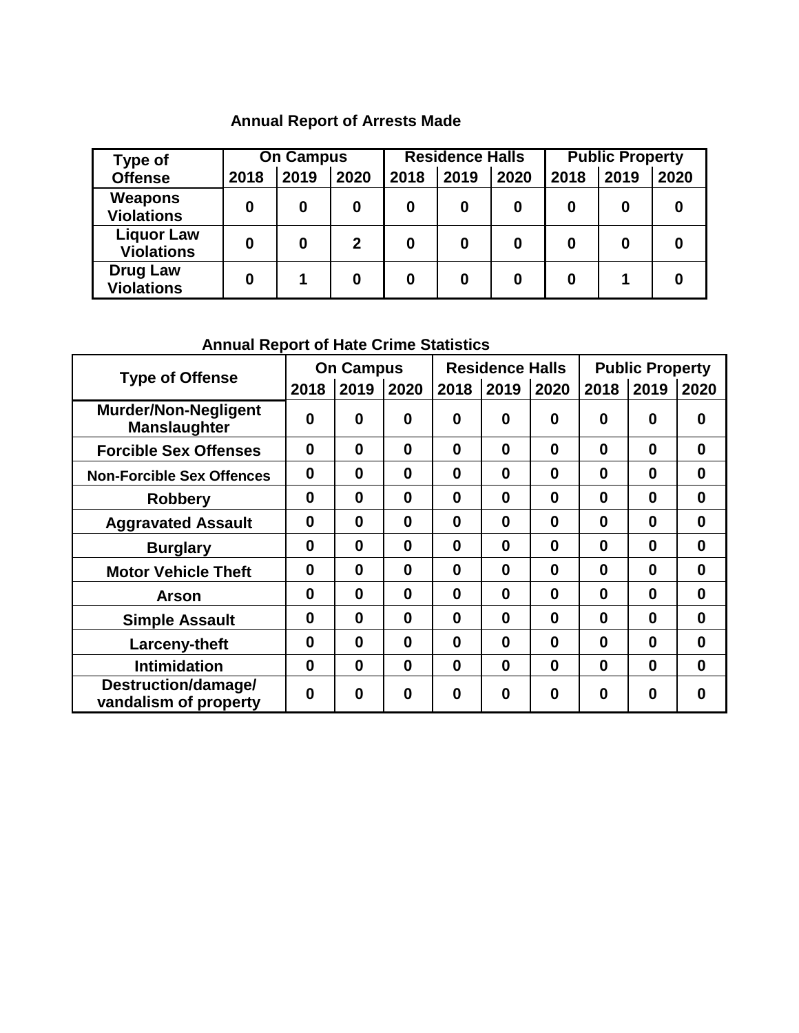# **Annual Report of Arrests Made**

| <b>Type of</b>                         |      | <b>On Campus</b> |      |      | <b>Residence Halls</b> |      |      | <b>Public Property</b> |      |  |
|----------------------------------------|------|------------------|------|------|------------------------|------|------|------------------------|------|--|
| <b>Offense</b>                         | 2018 | 2019             | 2020 | 2018 | 2019                   | 2020 | 2018 | 2019                   | 2020 |  |
| Weapons<br><b>Violations</b>           | 0    | 0                | 0    | 0    | 0                      | 0    | 0    | 0                      |      |  |
| <b>Liquor Law</b><br><b>Violations</b> | 0    | 0                | 2    |      | 0                      | 0    | 0    | 0                      |      |  |
| <b>Drug Law</b><br><b>Violations</b>   | ი    |                  | 0    | 0    | Ω                      | 0    | 0    |                        |      |  |

## **Annual Report of Hate Crime Statistics**

| <b>Type of Offense</b>                             |          | <b>On Campus</b> |          | <b>Residence Halls</b> |          |          | <b>Public Property</b> |                  |          |
|----------------------------------------------------|----------|------------------|----------|------------------------|----------|----------|------------------------|------------------|----------|
|                                                    | 2018     | 2019             | 2020     | 2018                   | 2019     | 2020     | 2018                   | 2019             | 2020     |
| <b>Murder/Non-Negligent</b><br><b>Manslaughter</b> | 0        | $\bf{0}$         | 0        | 0                      | 0        | 0        | 0                      | 0                | 0        |
| <b>Forcible Sex Offenses</b>                       | 0        | $\bf{0}$         | $\bf{0}$ | 0                      | $\bf{0}$ | $\bf{0}$ | $\bf{0}$               | $\bf{0}$         | $\bf{0}$ |
| <b>Non-Forcible Sex Offences</b>                   | $\bf{0}$ | $\bf{0}$         | $\bf{0}$ | 0                      | $\bf{0}$ | 0        | $\bf{0}$               | $\bf{0}$         | $\bf{0}$ |
| <b>Robbery</b>                                     | 0        | $\bf{0}$         | $\bf{0}$ | 0                      | $\bf{0}$ | 0        | $\bf{0}$               | $\bf{0}$         | $\bf{0}$ |
| <b>Aggravated Assault</b>                          | 0        | $\bf{0}$         | $\bf{0}$ | 0                      | $\bf{0}$ | 0        | $\bf{0}$               | $\bf{0}$         | $\bf{0}$ |
| <b>Burglary</b>                                    | 0        | $\bf{0}$         | $\bf{0}$ | 0                      | $\bf{0}$ | 0        | $\bf{0}$               | 0                | $\bf{0}$ |
| <b>Motor Vehicle Theft</b>                         | 0        | $\bf{0}$         | $\bf{0}$ | $\bf{0}$               | $\bf{0}$ | 0        | $\bf{0}$               | 0                | $\bf{0}$ |
| <b>Arson</b>                                       | 0        | $\bf{0}$         | $\bf{0}$ | 0                      | $\bf{0}$ | 0        | $\bf{0}$               | $\bf{0}$         | $\bf{0}$ |
| <b>Simple Assault</b>                              | 0        | $\bf{0}$         | $\bf{0}$ | 0                      | $\bf{0}$ | 0        | $\bf{0}$               | 0                | $\bf{0}$ |
| Larceny-theft                                      | 0        | $\bf{0}$         | $\bf{0}$ | 0                      | $\bf{0}$ | 0        | $\bf{0}$               | $\bf{0}$         | $\bf{0}$ |
| <b>Intimidation</b>                                | 0        | $\bf{0}$         | $\bf{0}$ | $\bf{0}$               | $\bf{0}$ | 0        | $\bf{0}$               | $\bf{0}$         | $\bf{0}$ |
| Destruction/damage/<br>vandalism of property       | 0        | O                | $\bf{0}$ | 0                      | 0        | 0        | 0                      | $\boldsymbol{0}$ | O        |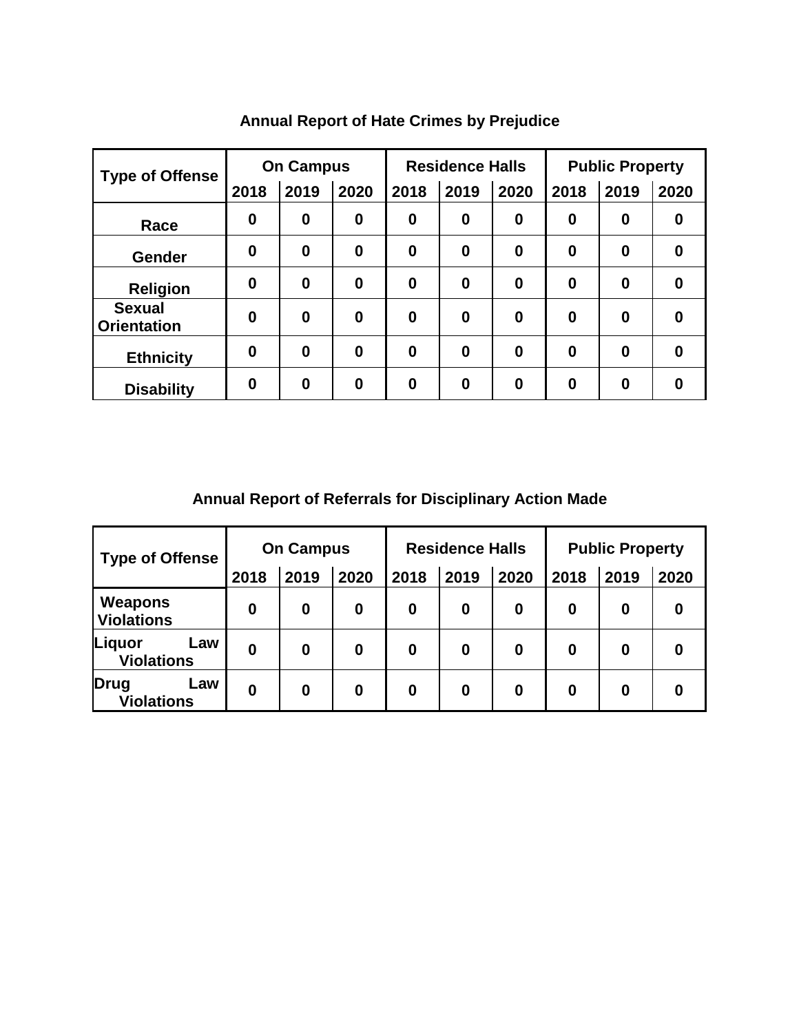| <b>Type of Offense</b>              |                  | <b>On Campus</b> |          |                  | <b>Residence Halls</b> |                  | <b>Public Property</b> |          |                  |
|-------------------------------------|------------------|------------------|----------|------------------|------------------------|------------------|------------------------|----------|------------------|
|                                     | 2018             | 2019             | 2020     | 2018             | 2019                   | 2020             | 2018                   | 2019     | 2020             |
| Race                                | $\boldsymbol{0}$ | $\boldsymbol{0}$ | $\bf{0}$ | $\boldsymbol{0}$ | $\boldsymbol{0}$       | $\boldsymbol{0}$ | $\bf{0}$               | 0        | $\boldsymbol{0}$ |
| <b>Gender</b>                       | $\bf{0}$         | $\bf{0}$         | $\bf{0}$ | $\bf{0}$         | $\bf{0}$               | $\bf{0}$         | $\bf{0}$               | 0        | $\bf{0}$         |
| <b>Religion</b>                     | $\bf{0}$         | 0                | $\bf{0}$ | $\bf{0}$         | $\bf{0}$               | $\boldsymbol{0}$ | $\boldsymbol{0}$       | 0        | $\bf{0}$         |
| <b>Sexual</b><br><b>Orientation</b> | $\bf{0}$         | $\bf{0}$         | $\bf{0}$ | $\bf{0}$         | $\bf{0}$               | $\bf{0}$         | $\bf{0}$               | 0        | $\bf{0}$         |
| <b>Ethnicity</b>                    | $\bf{0}$         | $\bf{0}$         | $\bf{0}$ | $\bf{0}$         | $\bf{0}$               | $\bf{0}$         | $\bf{0}$               | $\bf{0}$ | $\bf{0}$         |
| <b>Disability</b>                   | $\bf{0}$         | 0                | $\bf{0}$ | 0                | $\bf{0}$               | $\bf{0}$         | $\bf{0}$               | 0        | $\bf{0}$         |

# **Annual Report of Hate Crimes by Prejudice**

**Annual Report of Referrals for Disciplinary Action Made**

| <b>Type of Offense</b>             | <b>On Campus</b> |      |      |      | <b>Residence Halls</b> |      | <b>Public Property</b> |      |      |
|------------------------------------|------------------|------|------|------|------------------------|------|------------------------|------|------|
|                                    | 2018             | 2019 | 2020 | 2018 | 2019                   | 2020 | 2018                   | 2019 | 2020 |
| Weapons<br><b>Violations</b>       | 0                | 0    | 0    | 0    | 0                      | 0    | 0                      | 0    |      |
| Liquor<br>Law<br><b>Violations</b> | 0                | 0    | 0    | 0    | 0                      | 0    | 0                      | 0    |      |
| Drug<br>Law<br><b>Violations</b>   | 0                | 0    | 0    | 0    | 0                      | 0    | 0                      | 0    |      |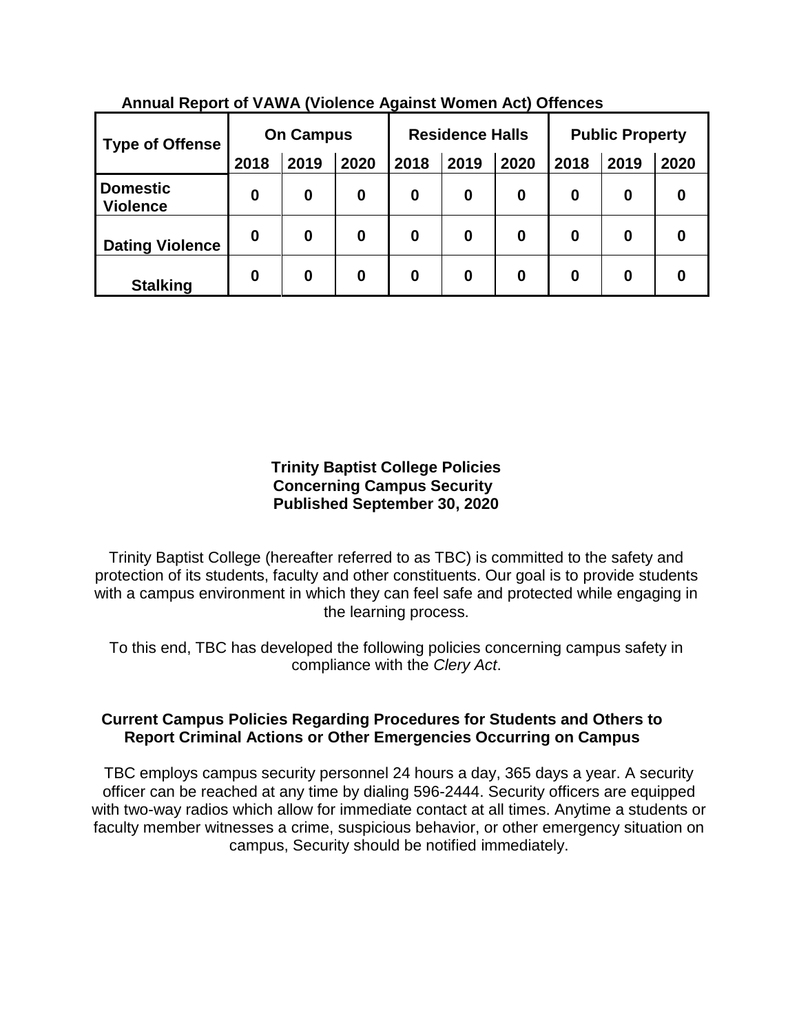| <b>Type of Offense</b>             | <b>On Campus</b> |      |      | <b>Residence Halls</b> |      |      | <b>Public Property</b> |                  |      |
|------------------------------------|------------------|------|------|------------------------|------|------|------------------------|------------------|------|
|                                    | 2018             | 2019 | 2020 | 2018                   | 2019 | 2020 | 2018                   | 2019             | 2020 |
| <b>Domestic</b><br><b>Violence</b> | 0                | 0    | 0    | 0                      | 0    | 0    | 0                      | $\boldsymbol{0}$ | 0    |
| <b>Dating Violence</b>             | 0                | 0    | 0    | 0                      | 0    | 0    | 0                      | $\boldsymbol{0}$ | 0    |
| <b>Stalking</b>                    | 0                | 0    | 0    | 0                      | 0    | 0    | 0                      | 0                | 0    |

**Annual Report of VAWA (Violence Against Women Act) Offences**

#### **Trinity Baptist College Policies Concerning Campus Security Published September 30, 2020**

Trinity Baptist College (hereafter referred to as TBC) is committed to the safety and protection of its students, faculty and other constituents. Our goal is to provide students with a campus environment in which they can feel safe and protected while engaging in the learning process.

To this end, TBC has developed the following policies concerning campus safety in compliance with the *Clery Act*.

### **Current Campus Policies Regarding Procedures for Students and Others to Report Criminal Actions or Other Emergencies Occurring on Campus**

TBC employs campus security personnel 24 hours a day, 365 days a year. A security officer can be reached at any time by dialing 596-2444. Security officers are equipped with two-way radios which allow for immediate contact at all times. Anytime a students or faculty member witnesses a crime, suspicious behavior, or other emergency situation on campus, Security should be notified immediately.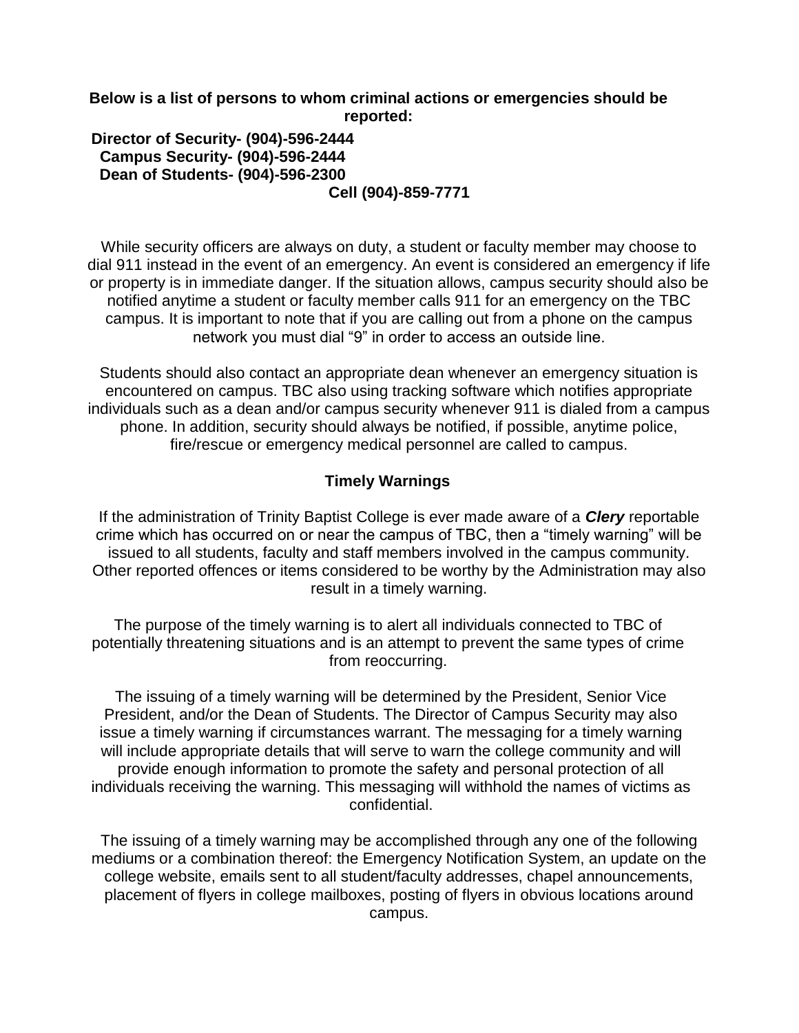**Below is a list of persons to whom criminal actions or emergencies should be reported:**

#### **Director of Security- (904)-596-2444 Campus Security- (904)-596-2444 Dean of Students- (904)-596-2300 Cell (904)-859-7771**

While security officers are always on duty, a student or faculty member may choose to dial 911 instead in the event of an emergency. An event is considered an emergency if life or property is in immediate danger. If the situation allows, campus security should also be notified anytime a student or faculty member calls 911 for an emergency on the TBC campus. It is important to note that if you are calling out from a phone on the campus network you must dial "9" in order to access an outside line.

Students should also contact an appropriate dean whenever an emergency situation is encountered on campus. TBC also using tracking software which notifies appropriate individuals such as a dean and/or campus security whenever 911 is dialed from a campus phone. In addition, security should always be notified, if possible, anytime police, fire/rescue or emergency medical personnel are called to campus.

#### **Timely Warnings**

If the administration of Trinity Baptist College is ever made aware of a *Clery* reportable crime which has occurred on or near the campus of TBC, then a "timely warning" will be issued to all students, faculty and staff members involved in the campus community. Other reported offences or items considered to be worthy by the Administration may also result in a timely warning.

The purpose of the timely warning is to alert all individuals connected to TBC of potentially threatening situations and is an attempt to prevent the same types of crime from reoccurring.

The issuing of a timely warning will be determined by the President, Senior Vice President, and/or the Dean of Students. The Director of Campus Security may also issue a timely warning if circumstances warrant. The messaging for a timely warning will include appropriate details that will serve to warn the college community and will provide enough information to promote the safety and personal protection of all individuals receiving the warning. This messaging will withhold the names of victims as confidential.

The issuing of a timely warning may be accomplished through any one of the following mediums or a combination thereof: the Emergency Notification System, an update on the college website, emails sent to all student/faculty addresses, chapel announcements, placement of flyers in college mailboxes, posting of flyers in obvious locations around campus.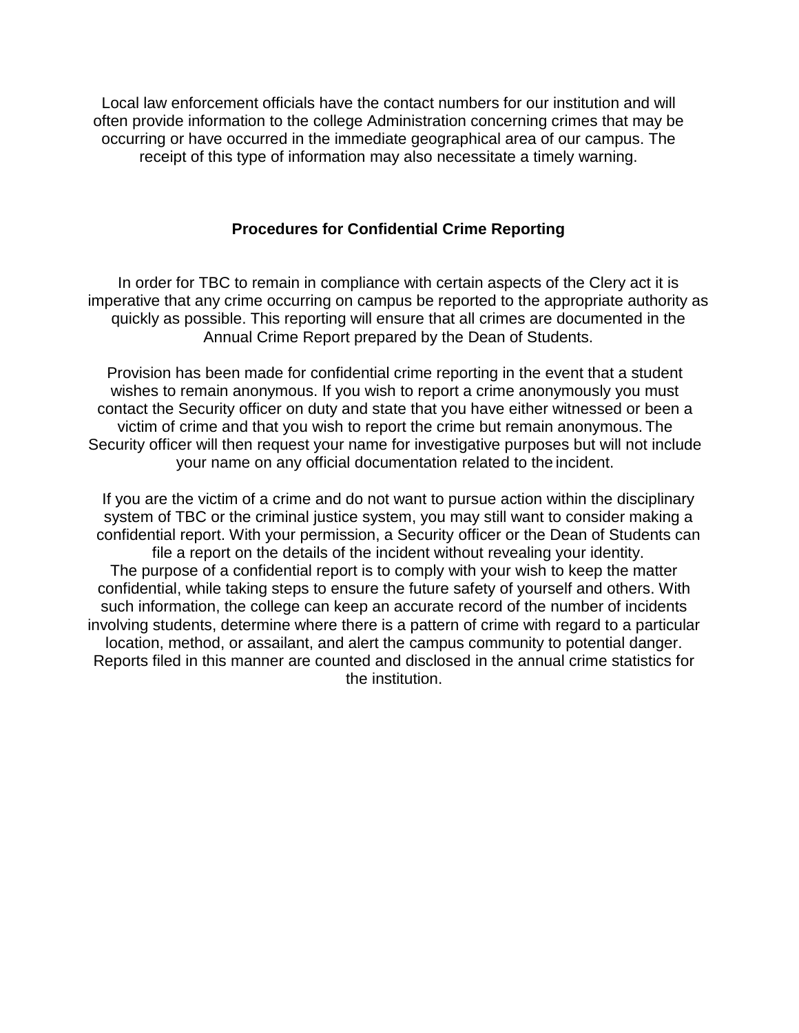Local law enforcement officials have the contact numbers for our institution and will often provide information to the college Administration concerning crimes that may be occurring or have occurred in the immediate geographical area of our campus. The receipt of this type of information may also necessitate a timely warning.

#### **Procedures for Confidential Crime Reporting**

In order for TBC to remain in compliance with certain aspects of the Clery act it is imperative that any crime occurring on campus be reported to the appropriate authority as quickly as possible. This reporting will ensure that all crimes are documented in the Annual Crime Report prepared by the Dean of Students.

Provision has been made for confidential crime reporting in the event that a student wishes to remain anonymous. If you wish to report a crime anonymously you must contact the Security officer on duty and state that you have either witnessed or been a victim of crime and that you wish to report the crime but remain anonymous. The Security officer will then request your name for investigative purposes but will not include your name on any official documentation related to the incident.

If you are the victim of a crime and do not want to pursue action within the disciplinary system of TBC or the criminal justice system, you may still want to consider making a confidential report. With your permission, a Security officer or the Dean of Students can file a report on the details of the incident without revealing your identity. The purpose of a confidential report is to comply with your wish to keep the matter confidential, while taking steps to ensure the future safety of yourself and others. With such information, the college can keep an accurate record of the number of incidents involving students, determine where there is a pattern of crime with regard to a particular location, method, or assailant, and alert the campus community to potential danger. Reports filed in this manner are counted and disclosed in the annual crime statistics for the institution.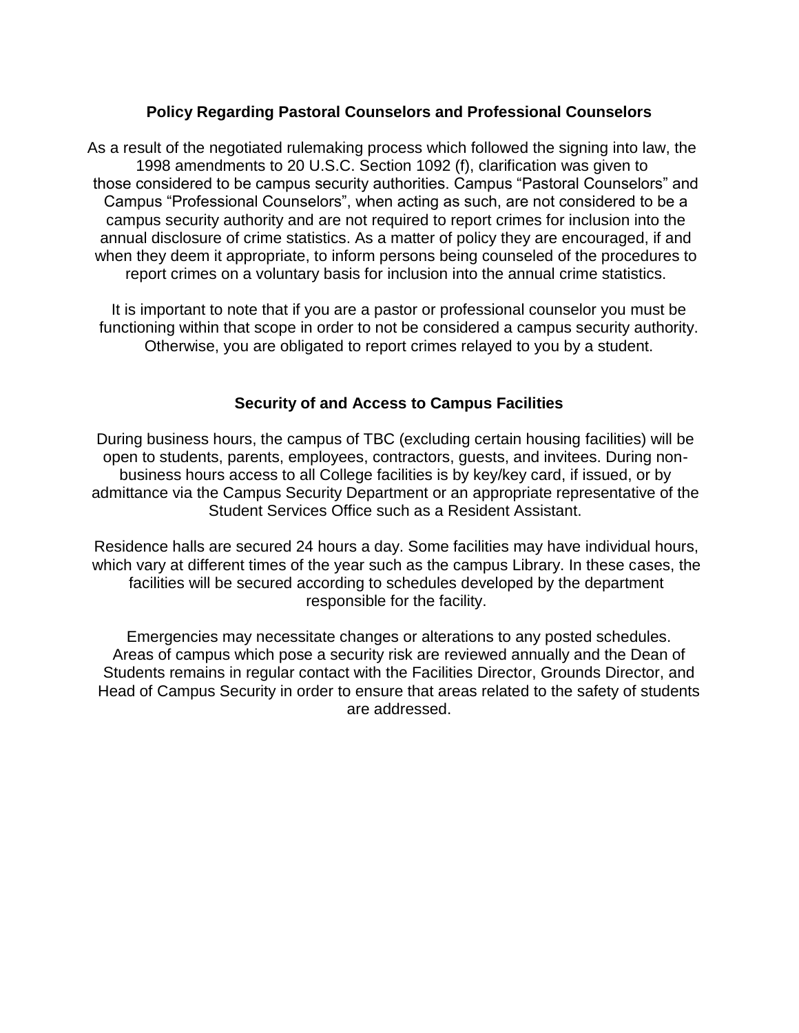#### **Policy Regarding Pastoral Counselors and Professional Counselors**

As a result of the negotiated rulemaking process which followed the signing into law, the 1998 amendments to 20 U.S.C. Section 1092 (f), clarification was given to those considered to be campus security authorities. Campus "Pastoral Counselors" and Campus "Professional Counselors", when acting as such, are not considered to be a campus security authority and are not required to report crimes for inclusion into the annual disclosure of crime statistics. As a matter of policy they are encouraged, if and when they deem it appropriate, to inform persons being counseled of the procedures to report crimes on a voluntary basis for inclusion into the annual crime statistics.

It is important to note that if you are a pastor or professional counselor you must be functioning within that scope in order to not be considered a campus security authority. Otherwise, you are obligated to report crimes relayed to you by a student.

#### **Security of and Access to Campus Facilities**

During business hours, the campus of TBC (excluding certain housing facilities) will be open to students, parents, employees, contractors, guests, and invitees. During nonbusiness hours access to all College facilities is by key/key card, if issued, or by admittance via the Campus Security Department or an appropriate representative of the Student Services Office such as a Resident Assistant.

Residence halls are secured 24 hours a day. Some facilities may have individual hours, which vary at different times of the year such as the campus Library. In these cases, the facilities will be secured according to schedules developed by the department responsible for the facility.

Emergencies may necessitate changes or alterations to any posted schedules. Areas of campus which pose a security risk are reviewed annually and the Dean of Students remains in regular contact with the Facilities Director, Grounds Director, and Head of Campus Security in order to ensure that areas related to the safety of students are addressed.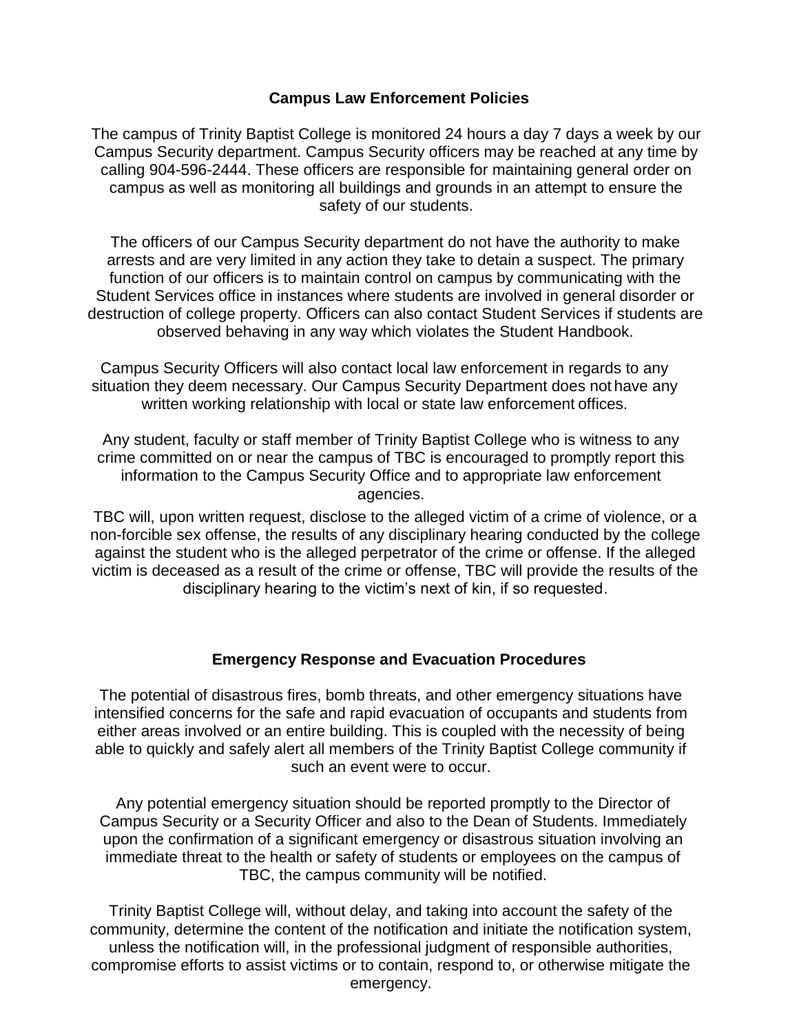#### **Campus Law Enforcement Policies**

The campus of Trinity Baptist College is monitored 24 hours a day 7 days a week by our Campus Security department. Campus Security officers may be reached at any time by calling 904-596-2444. These officers are responsible for maintaining general order on campus as well as monitoring all buildings and grounds in an attempt to ensure the safety of our students.

The officers of our Campus Security department do not have the authority to make arrests and are very limited in any action they take to detain a suspect. The primary function of our officers is to maintain control on campus by communicating with the Student Services office in instances where students are involved in general disorder or destruction of college property. Officers can also contact Student Services if students are observed behaving in any way which violates the Student Handbook.

Campus Security Officers will also contact local law enforcement in regards to any situation they deem necessary. Our Campus Security Department does not have any written working relationship with local or state law enforcement offices.

Any student, faculty or staff member of Trinity Baptist College who is witness to any crime committed on or near the campus of TBC is encouraged to promptly report this information to the Campus Security Office and to appropriate law enforcement agencies.

TBC will, upon written request, disclose to the alleged victim of a crime of violence, or a non-forcible sex offense, the results of any disciplinary hearing conducted by the college against the student who is the alleged perpetrator of the crime or offense. If the alleged victim is deceased as a result of the crime or offense, TBC will provide the results of the disciplinary hearing to the victim's next of kin, if so requested.

#### **Emergency Response and Evacuation Procedures**

The potential of disastrous fires, bomb threats, and other emergency situations have intensified concerns for the safe and rapid evacuation of occupants and students from either areas involved or an entire building. This is coupled with the necessity of being able to quickly and safely alert all members of the Trinity Baptist College community if such an event were to occur.

Any potential emergency situation should be reported promptly to the Director of Campus Security or a Security Officer and also to the Dean of Students. Immediately upon the confirmation of a significant emergency or disastrous situation involving an immediate threat to the health or safety of students or employees on the campus of TBC, the campus community will be notified.

Trinity Baptist College will, without delay, and taking into account the safety of the community, determine the content of the notification and initiate the notification system, unless the notification will, in the professional judgment of responsible authorities, compromise efforts to assist victims or to contain, respond to, or otherwise mitigate the emergency.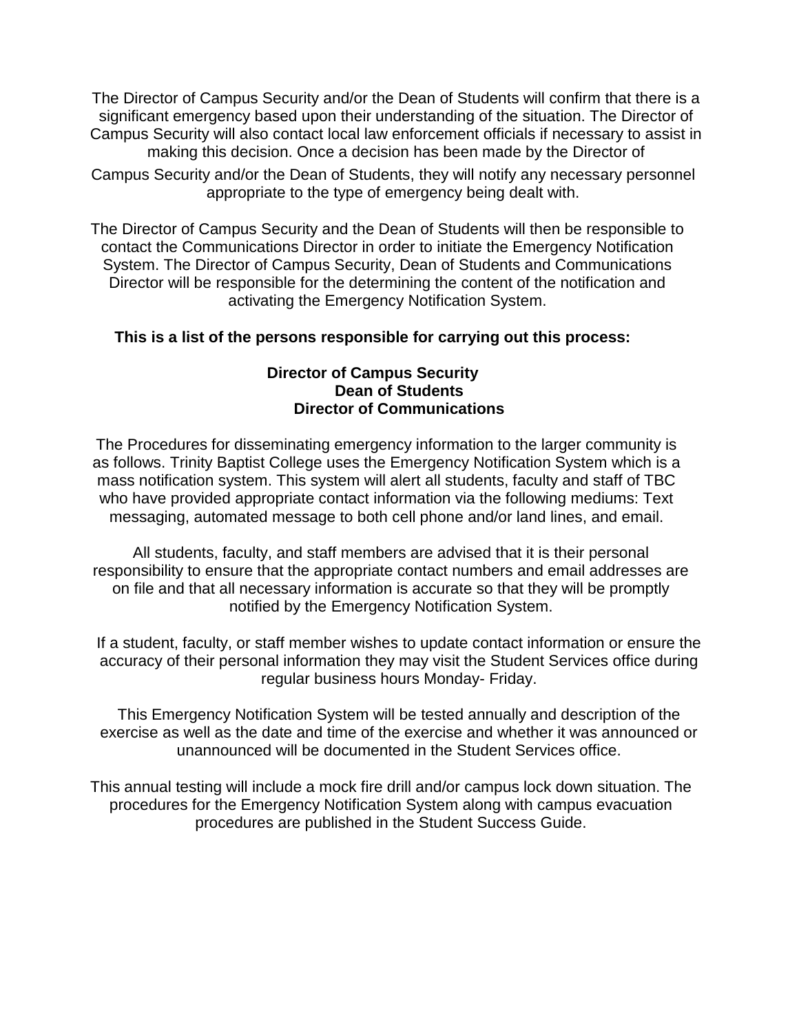The Director of Campus Security and/or the Dean of Students will confirm that there is a significant emergency based upon their understanding of the situation. The Director of Campus Security will also contact local law enforcement officials if necessary to assist in making this decision. Once a decision has been made by the Director of Campus Security and/or the Dean of Students, they will notify any necessary personnel appropriate to the type of emergency being dealt with.

The Director of Campus Security and the Dean of Students will then be responsible to contact the Communications Director in order to initiate the Emergency Notification System. The Director of Campus Security, Dean of Students and Communications Director will be responsible for the determining the content of the notification and activating the Emergency Notification System.

### **This is a list of the persons responsible for carrying out this process:**

#### **Director of Campus Security Dean of Students Director of Communications**

The Procedures for disseminating emergency information to the larger community is as follows. Trinity Baptist College uses the Emergency Notification System which is a mass notification system. This system will alert all students, faculty and staff of TBC who have provided appropriate contact information via the following mediums: Text messaging, automated message to both cell phone and/or land lines, and email.

All students, faculty, and staff members are advised that it is their personal responsibility to ensure that the appropriate contact numbers and email addresses are on file and that all necessary information is accurate so that they will be promptly notified by the Emergency Notification System.

If a student, faculty, or staff member wishes to update contact information or ensure the accuracy of their personal information they may visit the Student Services office during regular business hours Monday- Friday.

This Emergency Notification System will be tested annually and description of the exercise as well as the date and time of the exercise and whether it was announced or unannounced will be documented in the Student Services office.

This annual testing will include a mock fire drill and/or campus lock down situation. The procedures for the Emergency Notification System along with campus evacuation procedures are published in the Student Success Guide.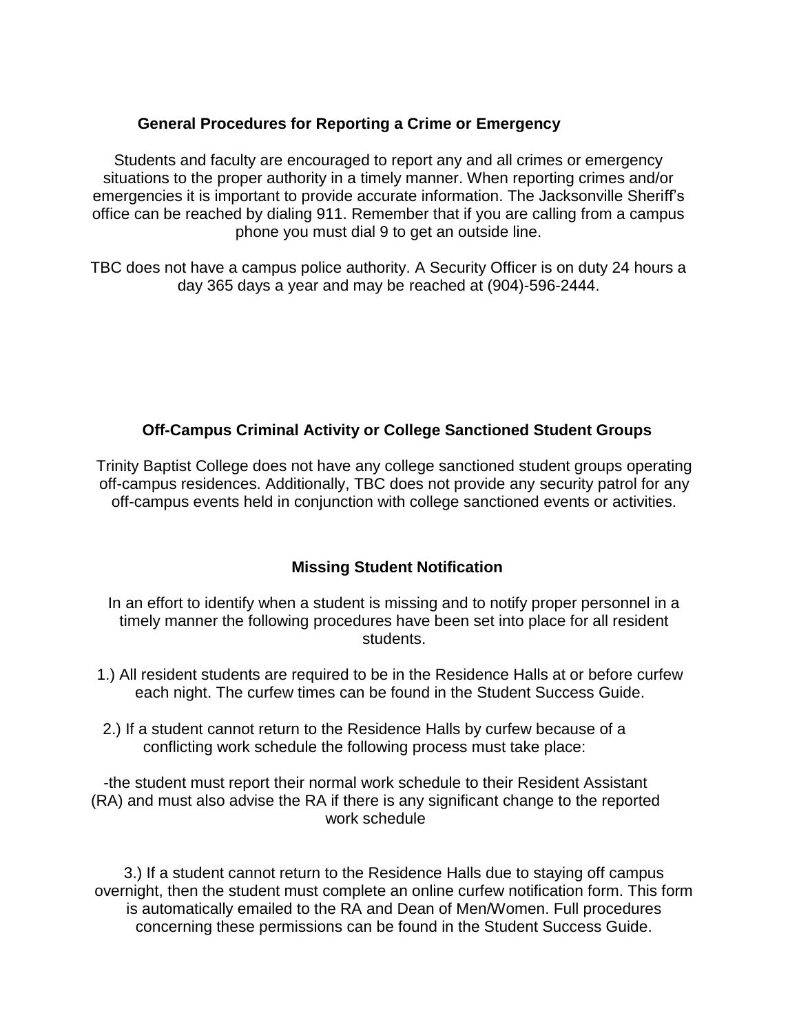### **General Procedures for Reporting a Crime or Emergency**

Students and faculty are encouraged to report any and all crimes or emergency situations to the proper authority in a timely manner. When reporting crimes and/or emergencies it is important to provide accurate information. The Jacksonville Sheriff's office can be reached by dialing 911. Remember that if you are calling from a campus phone you must dial 9 to get an outside line.

TBC does not have a campus police authority. A Security Officer is on duty 24 hours a day 365 days a year and may be reached at (904)-596-2444.

### **Off-Campus Criminal Activity or College Sanctioned Student Groups**

Trinity Baptist College does not have any college sanctioned student groups operating off-campus residences. Additionally, TBC does not provide any security patrol for any off-campus events held in conjunction with college sanctioned events or activities.

### **Missing Student Notification**

In an effort to identify when a student is missing and to notify proper personnel in a timely manner the following procedures have been set into place for all resident students.

- 1.) All resident students are required to be in the Residence Halls at or before curfew each night. The curfew times can be found in the Student Success Guide.
- 2.) If a student cannot return to the Residence Halls by curfew because of a conflicting work schedule the following process must take place:

-the student must report their normal work schedule to their Resident Assistant (RA) and must also advise the RA if there is any significant change to the reported work schedule

3.) If a student cannot return to the Residence Halls due to staying off campus overnight, then the student must complete an online curfew notification form. This form is automatically emailed to the RA and Dean of Men/Women. Full procedures concerning these permissions can be found in the Student Success Guide.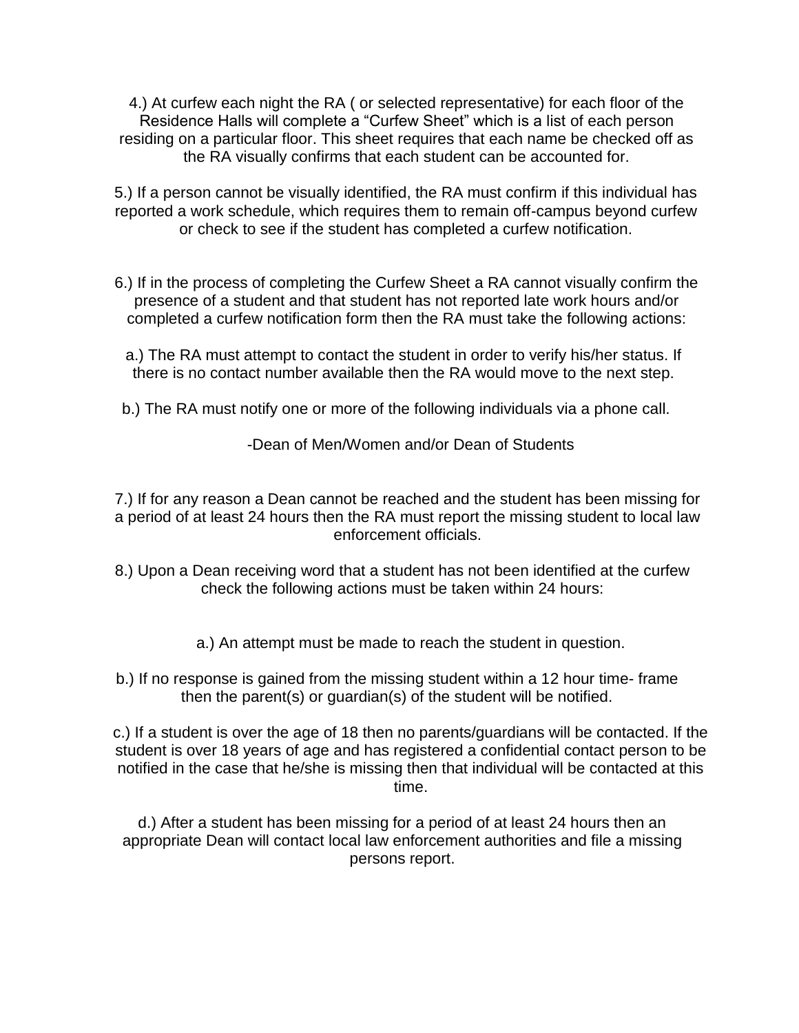4.) At curfew each night the RA ( or selected representative) for each floor of the Residence Halls will complete a "Curfew Sheet" which is a list of each person residing on a particular floor. This sheet requires that each name be checked off as the RA visually confirms that each student can be accounted for.

5.) If a person cannot be visually identified, the RA must confirm if this individual has reported a work schedule, which requires them to remain off-campus beyond curfew or check to see if the student has completed a curfew notification.

- 6.) If in the process of completing the Curfew Sheet a RA cannot visually confirm the presence of a student and that student has not reported late work hours and/or completed a curfew notification form then the RA must take the following actions:
	- a.) The RA must attempt to contact the student in order to verify his/her status. If there is no contact number available then the RA would move to the next step.
- b.) The RA must notify one or more of the following individuals via a phone call.

-Dean of Men/Women and/or Dean of Students

7.) If for any reason a Dean cannot be reached and the student has been missing for a period of at least 24 hours then the RA must report the missing student to local law enforcement officials.

- 8.) Upon a Dean receiving word that a student has not been identified at the curfew check the following actions must be taken within 24 hours:
	- a.) An attempt must be made to reach the student in question.
- b.) If no response is gained from the missing student within a 12 hour time- frame then the parent(s) or guardian(s) of the student will be notified.

c.) If a student is over the age of 18 then no parents/guardians will be contacted. If the student is over 18 years of age and has registered a confidential contact person to be notified in the case that he/she is missing then that individual will be contacted at this time.

d.) After a student has been missing for a period of at least 24 hours then an appropriate Dean will contact local law enforcement authorities and file a missing persons report.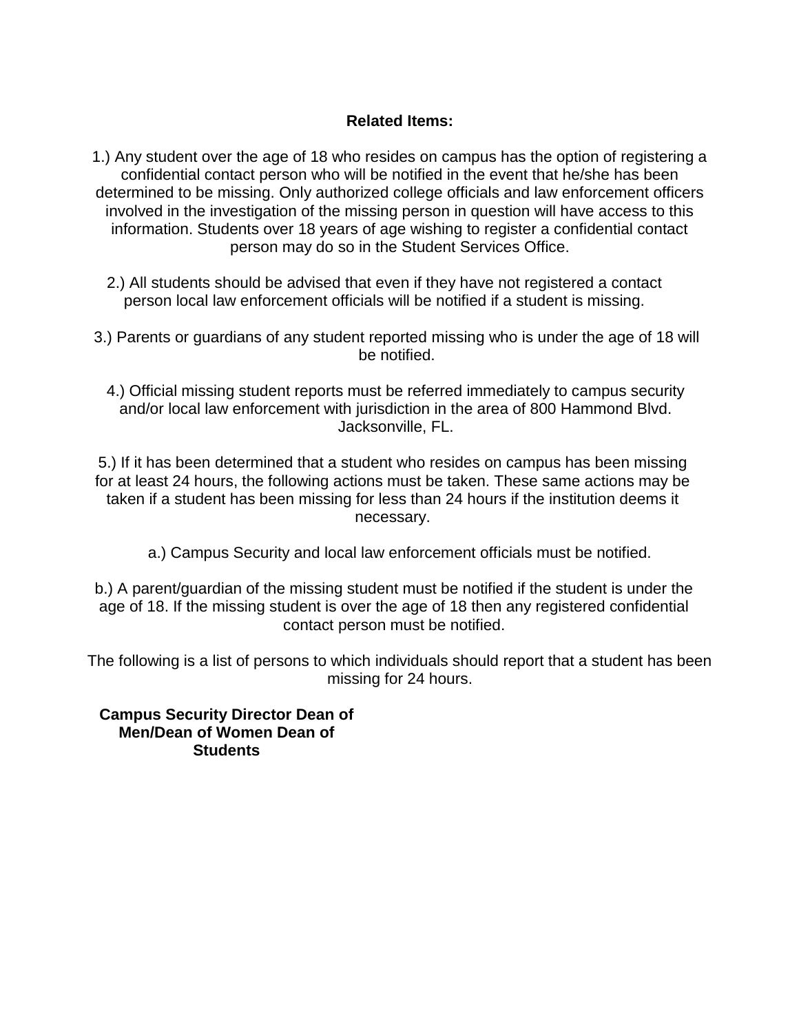### **Related Items:**

1.) Any student over the age of 18 who resides on campus has the option of registering a confidential contact person who will be notified in the event that he/she has been determined to be missing. Only authorized college officials and law enforcement officers involved in the investigation of the missing person in question will have access to this information. Students over 18 years of age wishing to register a confidential contact person may do so in the Student Services Office.

- 2.) All students should be advised that even if they have not registered a contact person local law enforcement officials will be notified if a student is missing.
- 3.) Parents or guardians of any student reported missing who is under the age of 18 will be notified.
	- 4.) Official missing student reports must be referred immediately to campus security and/or local law enforcement with jurisdiction in the area of 800 Hammond Blvd. Jacksonville, FL.

5.) If it has been determined that a student who resides on campus has been missing for at least 24 hours, the following actions must be taken. These same actions may be taken if a student has been missing for less than 24 hours if the institution deems it necessary.

- a.) Campus Security and local law enforcement officials must be notified.
- b.) A parent/guardian of the missing student must be notified if the student is under the age of 18. If the missing student is over the age of 18 then any registered confidential contact person must be notified.

The following is a list of persons to which individuals should report that a student has been missing for 24 hours.

**Campus Security Director Dean of Men/Dean of Women Dean of Students**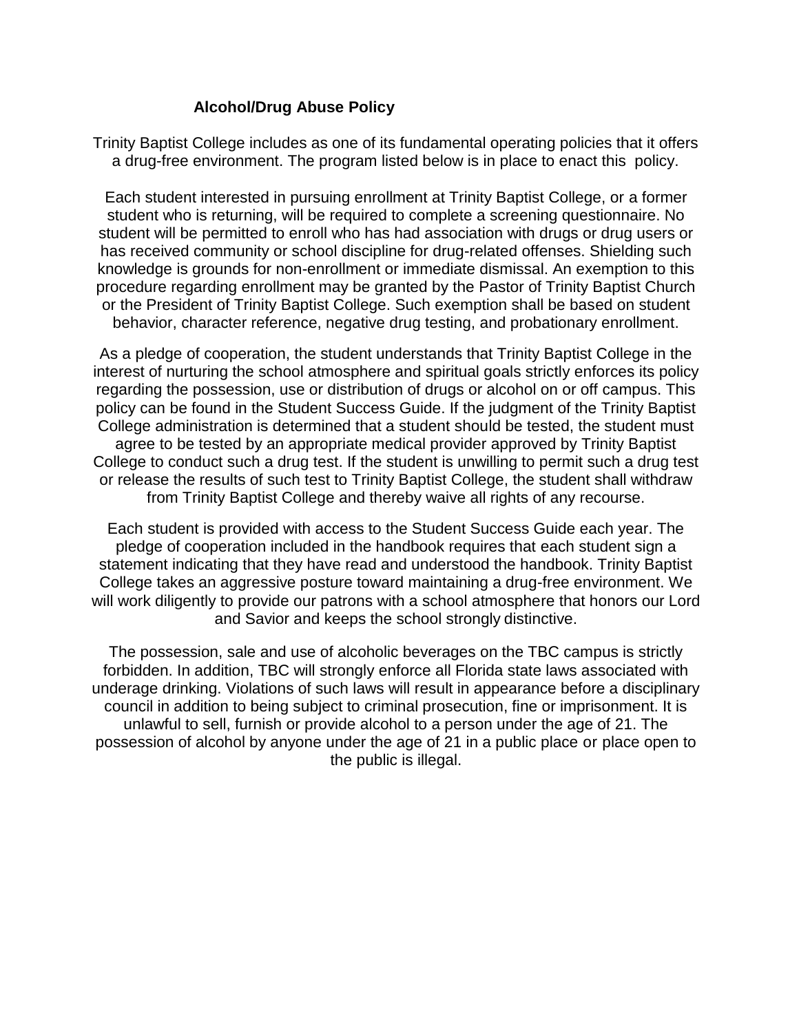### **Alcohol/Drug Abuse Policy**

Trinity Baptist College includes as one of its fundamental operating policies that it offers a drug-free environment. The program listed below is in place to enact this policy.

Each student interested in pursuing enrollment at Trinity Baptist College, or a former student who is returning, will be required to complete a screening questionnaire. No student will be permitted to enroll who has had association with drugs or drug users or has received community or school discipline for drug-related offenses. Shielding such knowledge is grounds for non-enrollment or immediate dismissal. An exemption to this procedure regarding enrollment may be granted by the Pastor of Trinity Baptist Church or the President of Trinity Baptist College. Such exemption shall be based on student behavior, character reference, negative drug testing, and probationary enrollment.

As a pledge of cooperation, the student understands that Trinity Baptist College in the interest of nurturing the school atmosphere and spiritual goals strictly enforces its policy regarding the possession, use or distribution of drugs or alcohol on or off campus. This policy can be found in the Student Success Guide. If the judgment of the Trinity Baptist College administration is determined that a student should be tested, the student must agree to be tested by an appropriate medical provider approved by Trinity Baptist College to conduct such a drug test. If the student is unwilling to permit such a drug test or release the results of such test to Trinity Baptist College, the student shall withdraw from Trinity Baptist College and thereby waive all rights of any recourse.

Each student is provided with access to the Student Success Guide each year. The pledge of cooperation included in the handbook requires that each student sign a statement indicating that they have read and understood the handbook. Trinity Baptist College takes an aggressive posture toward maintaining a drug-free environment. We will work diligently to provide our patrons with a school atmosphere that honors our Lord and Savior and keeps the school strongly distinctive.

The possession, sale and use of alcoholic beverages on the TBC campus is strictly forbidden. In addition, TBC will strongly enforce all Florida state laws associated with underage drinking. Violations of such laws will result in appearance before a disciplinary council in addition to being subject to criminal prosecution, fine or imprisonment. It is unlawful to sell, furnish or provide alcohol to a person under the age of 21. The possession of alcohol by anyone under the age of 21 in a public place or place open to the public is illegal.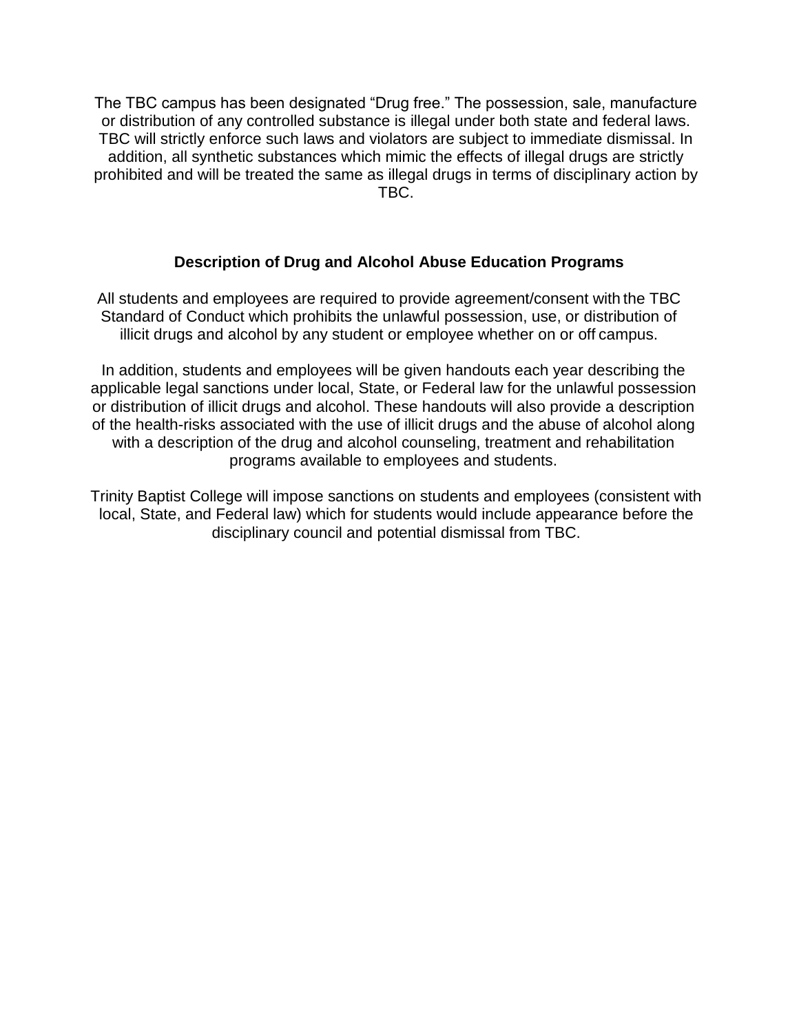The TBC campus has been designated "Drug free." The possession, sale, manufacture or distribution of any controlled substance is illegal under both state and federal laws. TBC will strictly enforce such laws and violators are subject to immediate dismissal. In addition, all synthetic substances which mimic the effects of illegal drugs are strictly prohibited and will be treated the same as illegal drugs in terms of disciplinary action by TBC.

#### **Description of Drug and Alcohol Abuse Education Programs**

All students and employees are required to provide agreement/consent with the TBC Standard of Conduct which prohibits the unlawful possession, use, or distribution of illicit drugs and alcohol by any student or employee whether on or off campus.

In addition, students and employees will be given handouts each year describing the applicable legal sanctions under local, State, or Federal law for the unlawful possession or distribution of illicit drugs and alcohol. These handouts will also provide a description of the health-risks associated with the use of illicit drugs and the abuse of alcohol along with a description of the drug and alcohol counseling, treatment and rehabilitation programs available to employees and students.

Trinity Baptist College will impose sanctions on students and employees (consistent with local, State, and Federal law) which for students would include appearance before the disciplinary council and potential dismissal from TBC.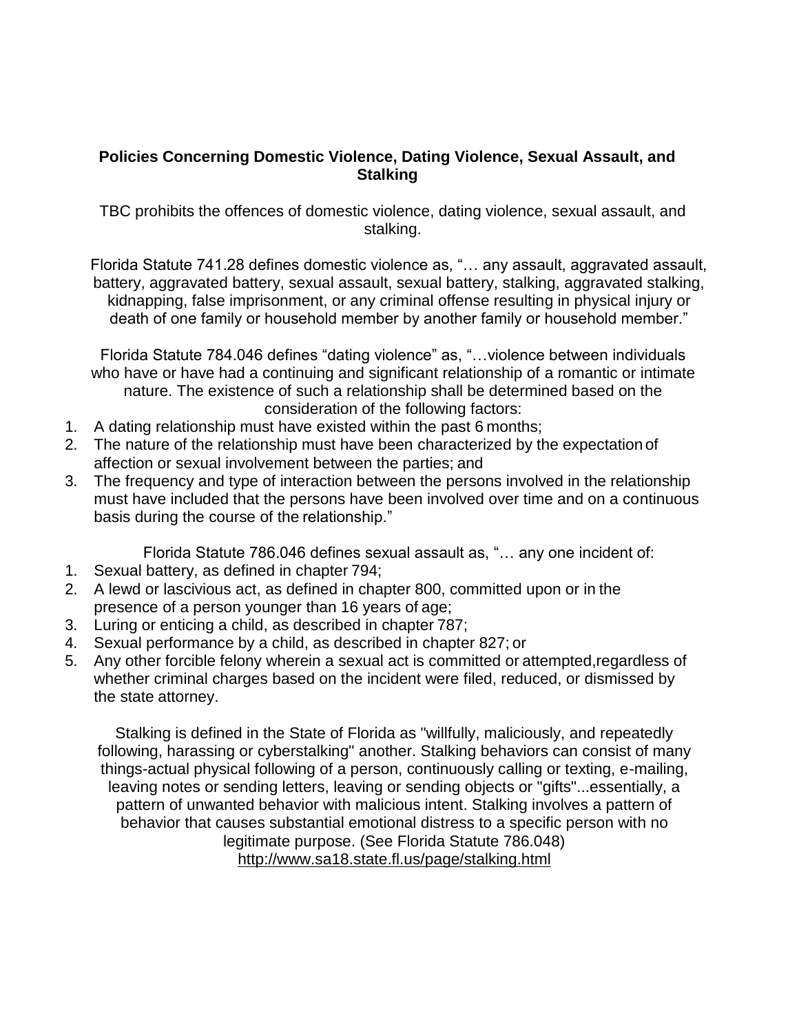#### **Policies Concerning Domestic Violence, Dating Violence, Sexual Assault, and Stalking**

TBC prohibits the offences of domestic violence, dating violence, sexual assault, and stalking.

Florida Statute 741.28 defines domestic violence as, "… any assault, aggravated assault, battery, aggravated battery, sexual assault, sexual battery, stalking, aggravated stalking, kidnapping, false imprisonment, or any criminal offense resulting in physical injury or death of one family or household member by another family or household member."

Florida Statute 784.046 defines "dating violence" as, "…violence between individuals who have or have had a continuing and significant relationship of a romantic or intimate nature. The existence of such a relationship shall be determined based on the consideration of the following factors:

- 1. A dating relationship must have existed within the past 6 months;
- 2. The nature of the relationship must have been characterized by the expectation of affection or sexual involvement between the parties; and
- 3. The frequency and type of interaction between the persons involved in the relationship must have included that the persons have been involved over time and on a continuous basis during the course of the relationship."

Florida Statute 786.046 defines sexual assault as, "… any one incident of:

- 1. Sexual battery, as defined in chapter 794;
- 2. A lewd or lascivious act, as defined in chapter 800, committed upon or in the presence of a person younger than 16 years of age;
- 3. Luring or enticing a child, as described in chapter 787;
- 4. Sexual performance by a child, as described in chapter 827; or
- 5. Any other forcible felony wherein a sexual act is committed or attempted,regardless of whether criminal charges based on the incident were filed, reduced, or dismissed by the state attorney.

Stalking is defined in the State of Florida as "willfully, maliciously, and repeatedly following, harassing or cyberstalking" another. Stalking behaviors can consist of many things-actual physical following of a person, continuously calling or texting, e-mailing, leaving notes or sending letters, leaving or sending objects or "gifts"...essentially, a pattern of unwanted behavior with malicious intent. Stalking involves a pattern of behavior that causes substantial emotional distress to a specific person with no legitimate purpose. (See Florida Statute 786.048) <http://www.sa18.state.fl.us/page/stalking.html>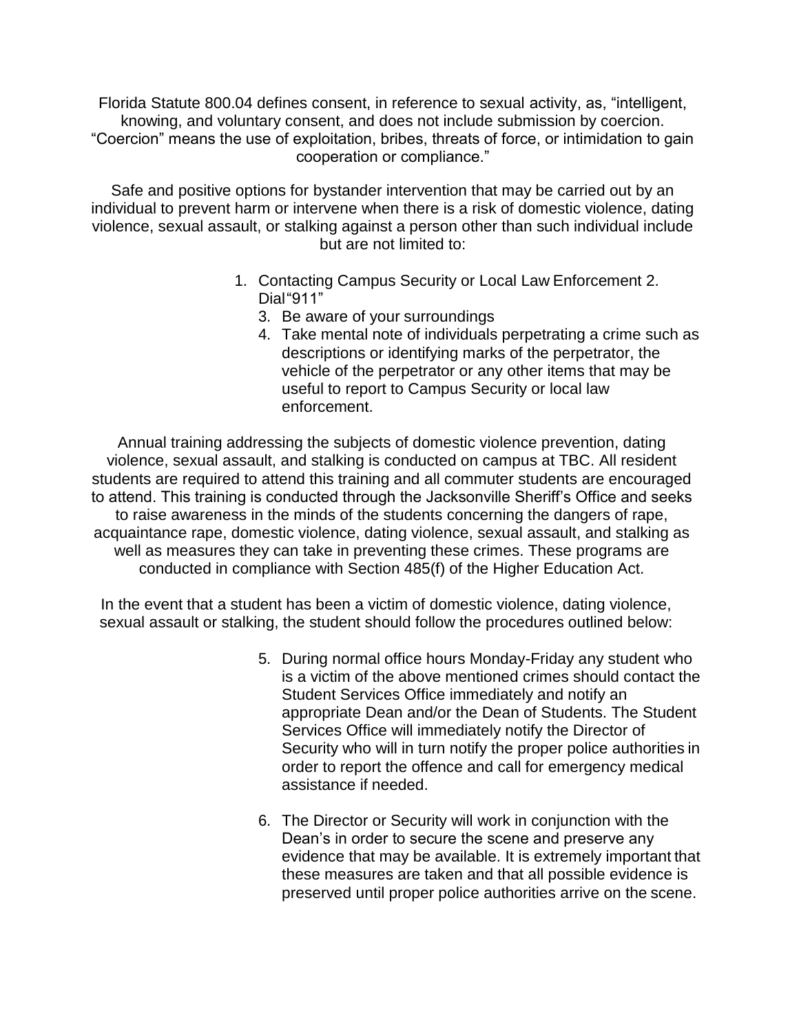Florida Statute 800.04 defines consent, in reference to sexual activity, as, "intelligent, knowing, and voluntary consent, and does not include submission by coercion. "Coercion" means the use of exploitation, bribes, threats of force, or intimidation to gain cooperation or compliance."

Safe and positive options for bystander intervention that may be carried out by an individual to prevent harm or intervene when there is a risk of domestic violence, dating violence, sexual assault, or stalking against a person other than such individual include but are not limited to:

- 1. Contacting Campus Security or Local Law Enforcement 2. Dial"911"
	- 3. Be aware of your surroundings
	- 4. Take mental note of individuals perpetrating a crime such as descriptions or identifying marks of the perpetrator, the vehicle of the perpetrator or any other items that may be useful to report to Campus Security or local law enforcement.

Annual training addressing the subjects of domestic violence prevention, dating violence, sexual assault, and stalking is conducted on campus at TBC. All resident students are required to attend this training and all commuter students are encouraged to attend. This training is conducted through the Jacksonville Sheriff's Office and seeks to raise awareness in the minds of the students concerning the dangers of rape, acquaintance rape, domestic violence, dating violence, sexual assault, and stalking as well as measures they can take in preventing these crimes. These programs are conducted in compliance with Section 485(f) of the Higher Education Act.

In the event that a student has been a victim of domestic violence, dating violence, sexual assault or stalking, the student should follow the procedures outlined below:

- 5. During normal office hours Monday-Friday any student who is a victim of the above mentioned crimes should contact the Student Services Office immediately and notify an appropriate Dean and/or the Dean of Students. The Student Services Office will immediately notify the Director of Security who will in turn notify the proper police authorities in order to report the offence and call for emergency medical assistance if needed.
- 6. The Director or Security will work in conjunction with the Dean's in order to secure the scene and preserve any evidence that may be available. It is extremely important that these measures are taken and that all possible evidence is preserved until proper police authorities arrive on the scene.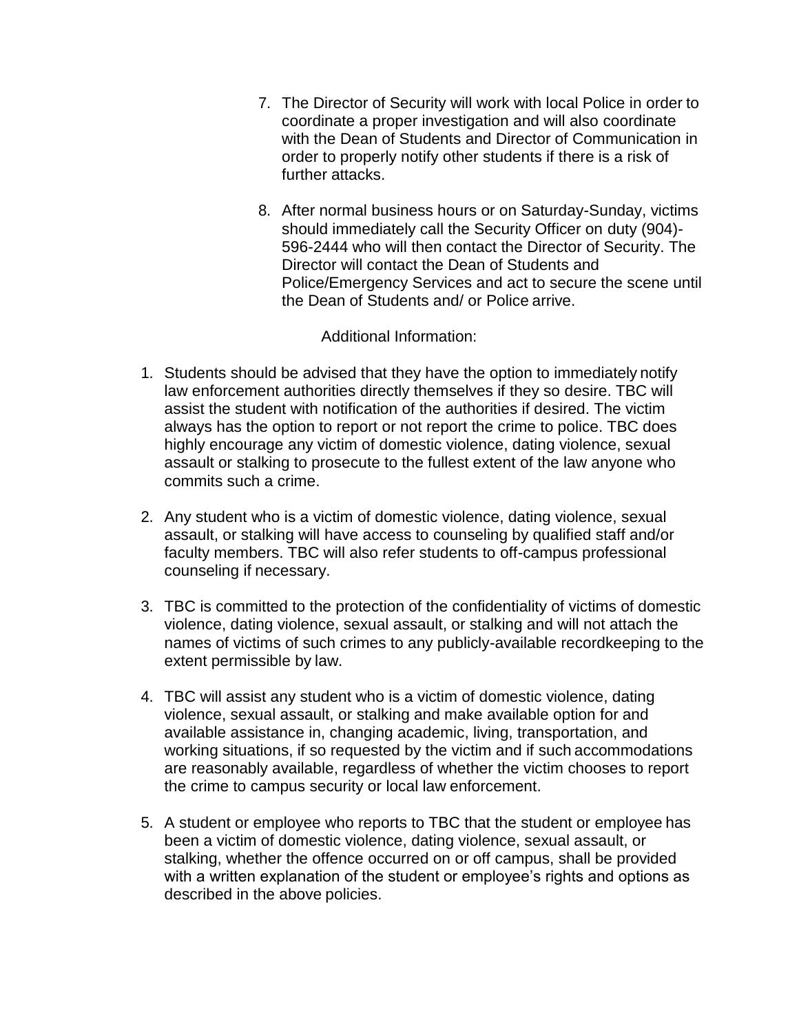- 7. The Director of Security will work with local Police in order to coordinate a proper investigation and will also coordinate with the Dean of Students and Director of Communication in order to properly notify other students if there is a risk of further attacks.
- 8. After normal business hours or on Saturday-Sunday, victims should immediately call the Security Officer on duty (904)- 596-2444 who will then contact the Director of Security. The Director will contact the Dean of Students and Police/Emergency Services and act to secure the scene until the Dean of Students and/ or Police arrive.

Additional Information:

- 1. Students should be advised that they have the option to immediately notify law enforcement authorities directly themselves if they so desire. TBC will assist the student with notification of the authorities if desired. The victim always has the option to report or not report the crime to police. TBC does highly encourage any victim of domestic violence, dating violence, sexual assault or stalking to prosecute to the fullest extent of the law anyone who commits such a crime.
- 2. Any student who is a victim of domestic violence, dating violence, sexual assault, or stalking will have access to counseling by qualified staff and/or faculty members. TBC will also refer students to off-campus professional counseling if necessary.
- 3. TBC is committed to the protection of the confidentiality of victims of domestic violence, dating violence, sexual assault, or stalking and will not attach the names of victims of such crimes to any publicly-available recordkeeping to the extent permissible by law.
- 4. TBC will assist any student who is a victim of domestic violence, dating violence, sexual assault, or stalking and make available option for and available assistance in, changing academic, living, transportation, and working situations, if so requested by the victim and if such accommodations are reasonably available, regardless of whether the victim chooses to report the crime to campus security or local law enforcement.
- 5. A student or employee who reports to TBC that the student or employee has been a victim of domestic violence, dating violence, sexual assault, or stalking, whether the offence occurred on or off campus, shall be provided with a written explanation of the student or employee's rights and options as described in the above policies.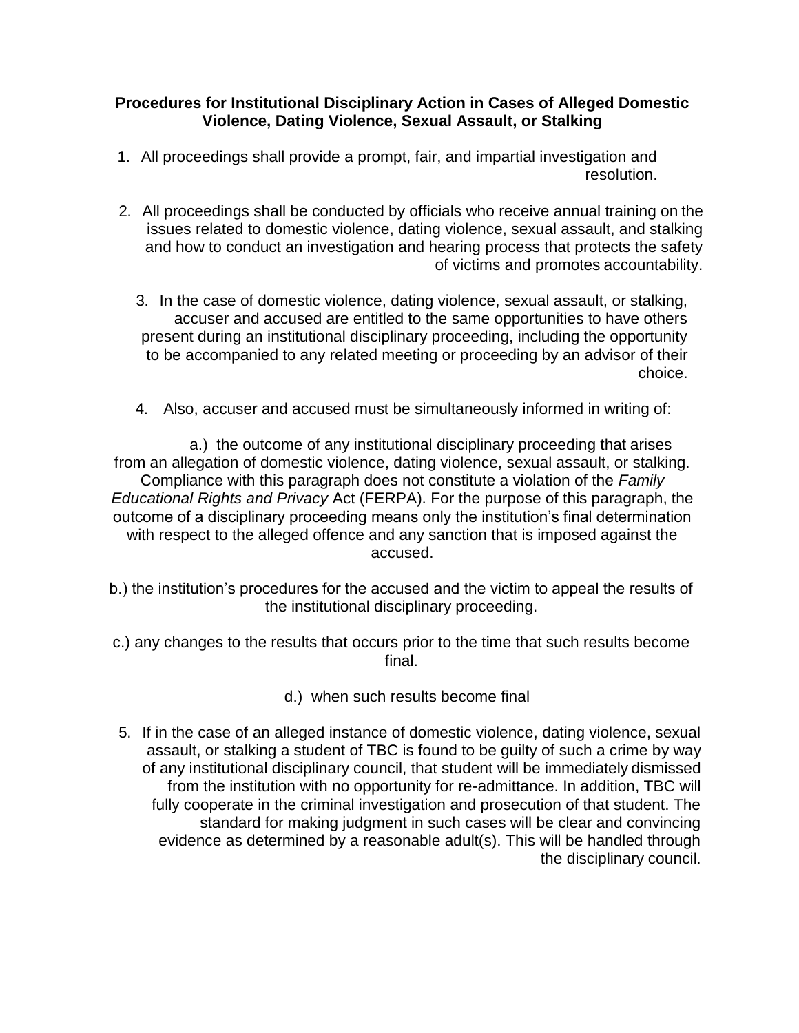#### **Procedures for Institutional Disciplinary Action in Cases of Alleged Domestic Violence, Dating Violence, Sexual Assault, or Stalking**

- 1. All proceedings shall provide a prompt, fair, and impartial investigation and resolution.
- 2. All proceedings shall be conducted by officials who receive annual training on the issues related to domestic violence, dating violence, sexual assault, and stalking and how to conduct an investigation and hearing process that protects the safety of victims and promotes accountability.
	- 3. In the case of domestic violence, dating violence, sexual assault, or stalking, accuser and accused are entitled to the same opportunities to have others present during an institutional disciplinary proceeding, including the opportunity to be accompanied to any related meeting or proceeding by an advisor of their choice.
	- 4. Also, accuser and accused must be simultaneously informed in writing of:

a.) the outcome of any institutional disciplinary proceeding that arises from an allegation of domestic violence, dating violence, sexual assault, or stalking. Compliance with this paragraph does not constitute a violation of the *Family Educational Rights and Privacy* Act (FERPA). For the purpose of this paragraph, the outcome of a disciplinary proceeding means only the institution's final determination with respect to the alleged offence and any sanction that is imposed against the accused.

- b.) the institution's procedures for the accused and the victim to appeal the results of the institutional disciplinary proceeding.
- c.) any changes to the results that occurs prior to the time that such results become final.
	- d.) when such results become final
- 5. If in the case of an alleged instance of domestic violence, dating violence, sexual assault, or stalking a student of TBC is found to be guilty of such a crime by way of any institutional disciplinary council, that student will be immediately dismissed from the institution with no opportunity for re-admittance. In addition, TBC will fully cooperate in the criminal investigation and prosecution of that student. The standard for making judgment in such cases will be clear and convincing evidence as determined by a reasonable adult(s). This will be handled through the disciplinary council.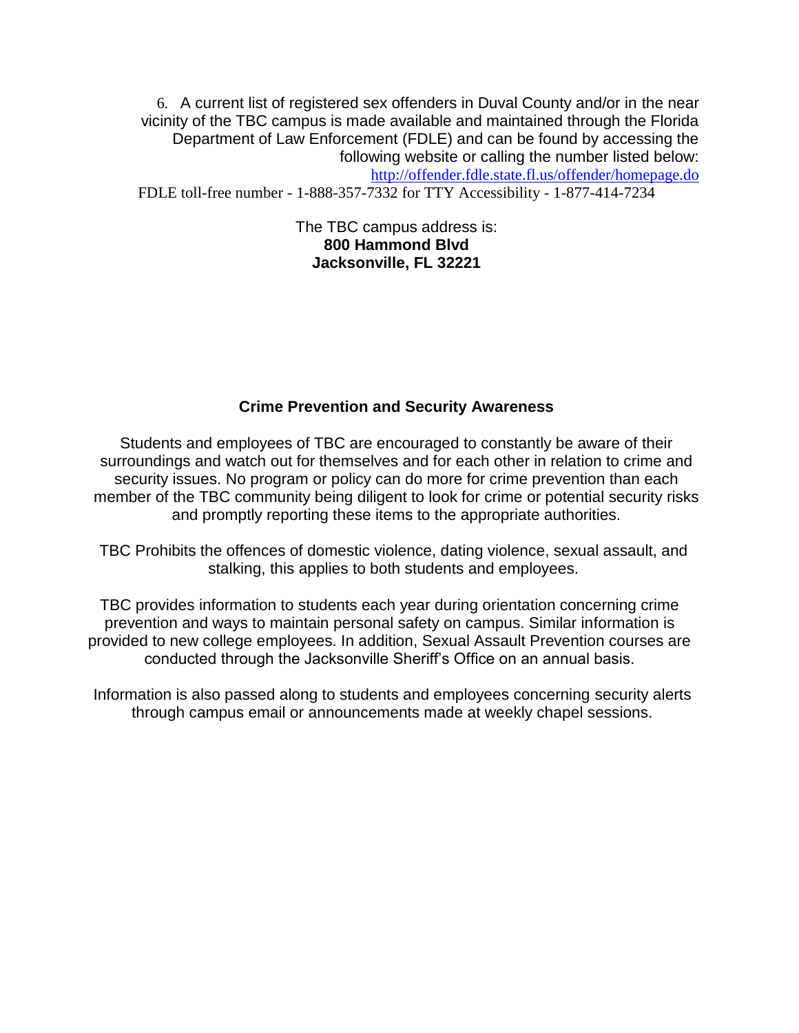6. A current list of registered sex offenders in Duval County and/or in the near vicinity of the TBC campus is made available and maintained through the Florida Department of Law Enforcement (FDLE) and can be found by accessing the following website or calling the number listed below: <http://offender.fdle.state.fl.us/offender/homepage.do>

FDLE toll-free number - 1-888-357-7332 for TTY Accessibility - 1-877-414-7234

The TBC campus address is: **800 Hammond Blvd Jacksonville, FL 32221**

#### **Crime Prevention and Security Awareness**

Students and employees of TBC are encouraged to constantly be aware of their surroundings and watch out for themselves and for each other in relation to crime and security issues. No program or policy can do more for crime prevention than each member of the TBC community being diligent to look for crime or potential security risks and promptly reporting these items to the appropriate authorities.

TBC Prohibits the offences of domestic violence, dating violence, sexual assault, and stalking, this applies to both students and employees.

TBC provides information to students each year during orientation concerning crime prevention and ways to maintain personal safety on campus. Similar information is provided to new college employees. In addition, Sexual Assault Prevention courses are conducted through the Jacksonville Sheriff's Office on an annual basis.

Information is also passed along to students and employees concerning security alerts through campus email or announcements made at weekly chapel sessions.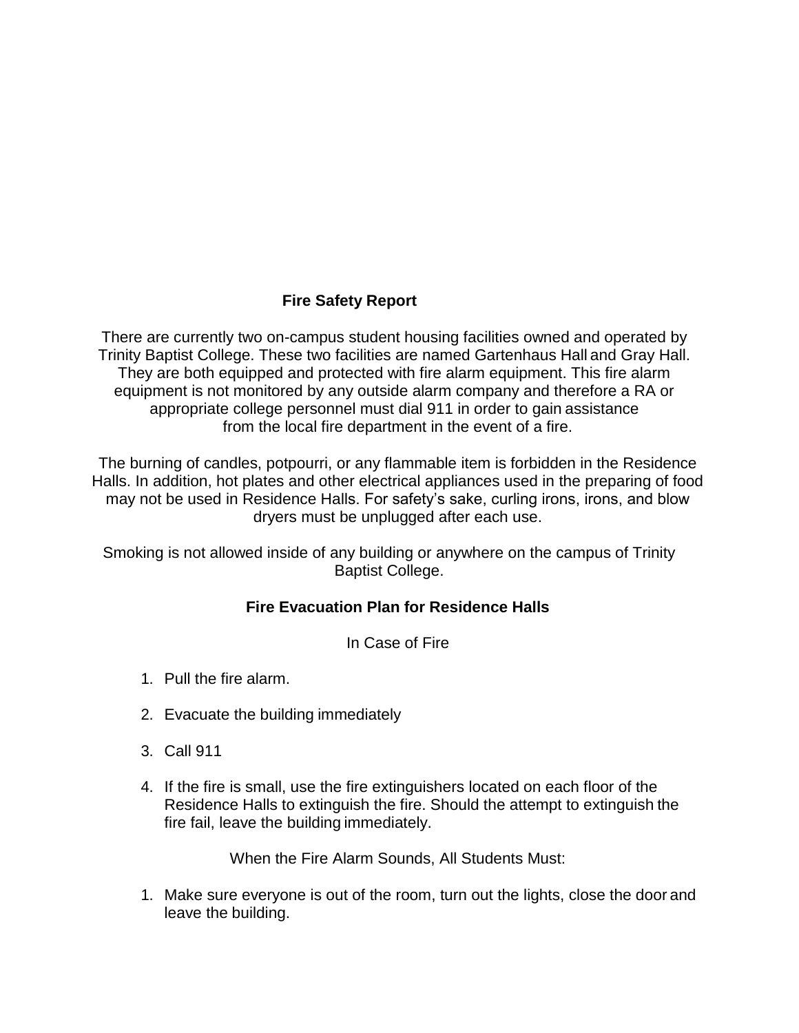### **Fire Safety Report**

There are currently two on-campus student housing facilities owned and operated by Trinity Baptist College. These two facilities are named Gartenhaus Hall and Gray Hall. They are both equipped and protected with fire alarm equipment. This fire alarm equipment is not monitored by any outside alarm company and therefore a RA or appropriate college personnel must dial 911 in order to gain assistance from the local fire department in the event of a fire.

The burning of candles, potpourri, or any flammable item is forbidden in the Residence Halls. In addition, hot plates and other electrical appliances used in the preparing of food may not be used in Residence Halls. For safety's sake, curling irons, irons, and blow dryers must be unplugged after each use.

Smoking is not allowed inside of any building or anywhere on the campus of Trinity Baptist College.

### **Fire Evacuation Plan for Residence Halls**

In Case of Fire

- 1. Pull the fire alarm.
- 2. Evacuate the building immediately
- 3. Call 911
- 4. If the fire is small, use the fire extinguishers located on each floor of the Residence Halls to extinguish the fire. Should the attempt to extinguish the fire fail, leave the building immediately.

When the Fire Alarm Sounds, All Students Must:

1. Make sure everyone is out of the room, turn out the lights, close the door and leave the building.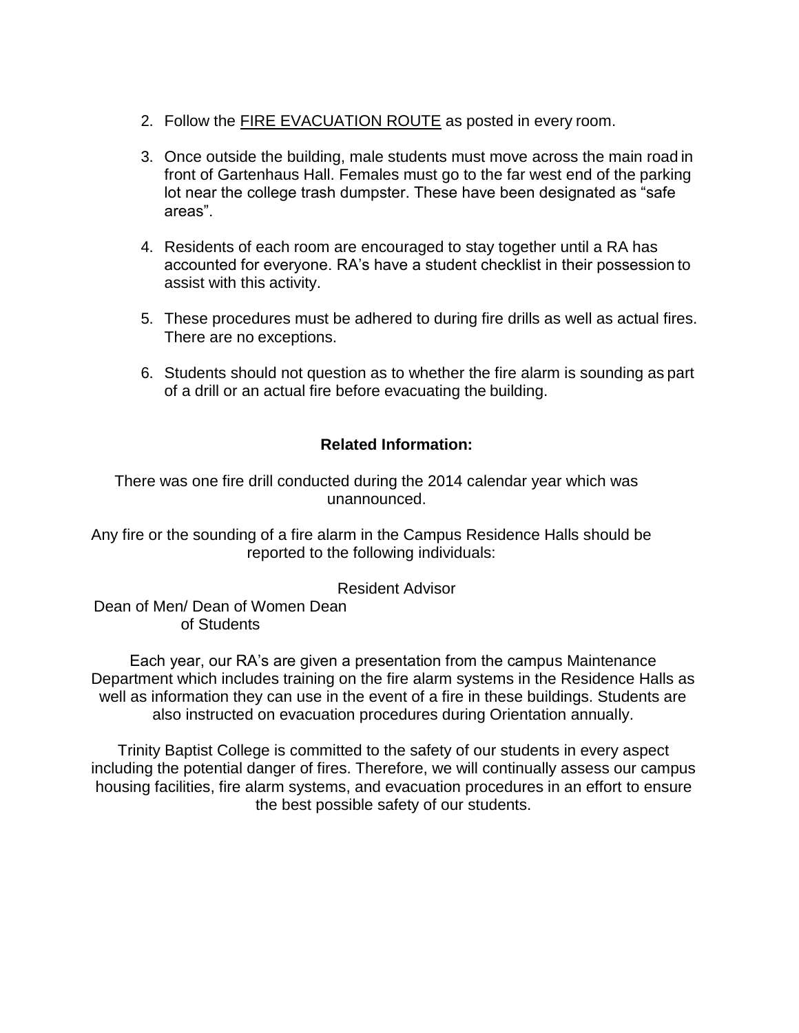- 2. Follow the FIRE EVACUATION ROUTE as posted in every room.
- 3. Once outside the building, male students must move across the main road in front of Gartenhaus Hall. Females must go to the far west end of the parking lot near the college trash dumpster. These have been designated as "safe areas".
- 4. Residents of each room are encouraged to stay together until a RA has accounted for everyone. RA's have a student checklist in their possession to assist with this activity.
- 5. These procedures must be adhered to during fire drills as well as actual fires. There are no exceptions.
- 6. Students should not question as to whether the fire alarm is sounding as part of a drill or an actual fire before evacuating the building.

### **Related Information:**

There was one fire drill conducted during the 2014 calendar year which was unannounced.

Any fire or the sounding of a fire alarm in the Campus Residence Halls should be reported to the following individuals:

Resident Advisor

Dean of Men/ Dean of Women Dean of Students

Each year, our RA's are given a presentation from the campus Maintenance Department which includes training on the fire alarm systems in the Residence Halls as well as information they can use in the event of a fire in these buildings. Students are also instructed on evacuation procedures during Orientation annually.

Trinity Baptist College is committed to the safety of our students in every aspect including the potential danger of fires. Therefore, we will continually assess our campus housing facilities, fire alarm systems, and evacuation procedures in an effort to ensure the best possible safety of our students.